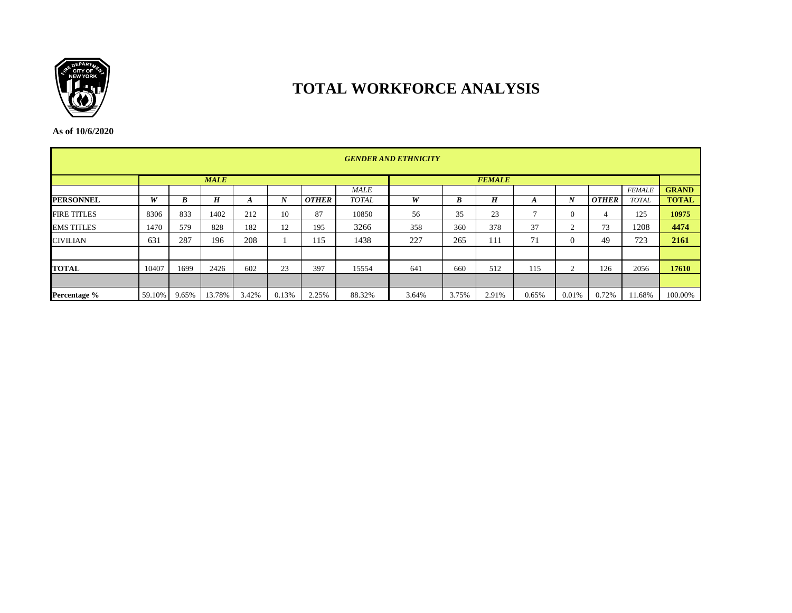

# **TOTAL WORKFORCE ANALYSIS**

**As of 10/6/2020**

|                    | <b>GENDER AND ETHNICITY</b> |       |             |       |       |              |              |               |       |       |       |                |              |               |              |  |  |
|--------------------|-----------------------------|-------|-------------|-------|-------|--------------|--------------|---------------|-------|-------|-------|----------------|--------------|---------------|--------------|--|--|
|                    |                             |       | <b>MALE</b> |       |       |              |              | <b>FEMALE</b> |       |       |       |                |              |               |              |  |  |
|                    |                             |       |             |       |       |              | <b>MALE</b>  |               |       |       |       |                |              | <b>FEMALE</b> | <b>GRAND</b> |  |  |
| <b>PERSONNEL</b>   | W                           | B     | H           | A     | N     | <b>OTHER</b> | <b>TOTAL</b> | W             | B     | H     | A     | N              | <b>OTHER</b> | <b>TOTAL</b>  | <b>TOTAL</b> |  |  |
| <b>FIRE TITLES</b> | 8306                        | 833   | 1402        | 212   | 10    | 87           | 10850        | 56            | 35    | 23    |       | $\overline{0}$ | 4            | 125           | 10975        |  |  |
| <b>EMS TITLES</b>  | 1470                        | 579   | 828         | 182   | 12    | 195          | 3266         | 358           | 360   | 378   | 37    | 2              | 73           | 1208          | 4474         |  |  |
| <b>CIVILIAN</b>    | 631                         | 287   | 196         | 208   |       | 115          | 1438         | 227           | 265   | 111   | 71    | $\Omega$       | 49           | 723           | 2161         |  |  |
|                    |                             |       |             |       |       |              |              |               |       |       |       |                |              |               |              |  |  |
| <b>TOTAL</b>       | 10407                       | 1699  | 2426        | 602   | 23    | 397          | 15554        | 641           | 660   | 512   | 115   | $\sim$         | 126          | 2056          | 17610        |  |  |
|                    |                             |       |             |       |       |              |              |               |       |       |       |                |              |               |              |  |  |
| Percentage %       | 59.10%                      | 9.65% | 13.78%      | 3.42% | 0.13% | 2.25%        | 88.32%       | 3.64%         | 3.75% | 2.91% | 0.65% | 0.01%          | 0.72%        | 11.68%        | 100.00%      |  |  |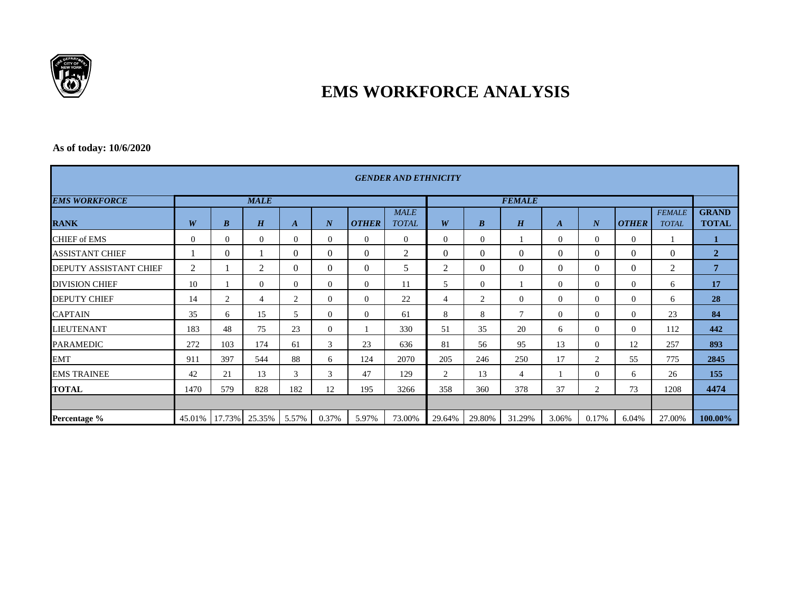

# **EMS WORKFORCE ANALYSIS**

### **As of today: 10/6/2020**

| <b>GENDER AND ETHNICITY</b> |          |                  |                |                  |                  |                |                             |                |                  |          |                  |                  |                |                               |                              |  |  |
|-----------------------------|----------|------------------|----------------|------------------|------------------|----------------|-----------------------------|----------------|------------------|----------|------------------|------------------|----------------|-------------------------------|------------------------------|--|--|
| <b>EMS WORKFORCE</b>        |          |                  | <b>MALE</b>    |                  |                  |                |                             | <b>FEMALE</b>  |                  |          |                  |                  |                |                               |                              |  |  |
| <b>RANK</b>                 | W        | $\boldsymbol{B}$ | H              | $\boldsymbol{A}$ | $\boldsymbol{N}$ | <b>OTHER</b>   | <b>MALE</b><br><b>TOTAL</b> | W              | $\boldsymbol{B}$ | H        | $\boldsymbol{A}$ | $\boldsymbol{N}$ | <b>OTHER</b>   | <b>FEMALE</b><br><b>TOTAL</b> | <b>GRAND</b><br><b>TOTAL</b> |  |  |
| <b>CHIEF of EMS</b>         | $\Omega$ | $\overline{0}$   | $\Omega$       | $\mathbf{0}$     | $\mathbf{0}$     | $\overline{0}$ | $\overline{0}$              | $\Omega$       | $\Omega$         |          | $\Omega$         | $\overline{0}$   | $\overline{0}$ |                               |                              |  |  |
| <b>ASSISTANT CHIEF</b>      |          | $\theta$         |                | $\mathbf{0}$     | $\mathbf{0}$     | $\overline{0}$ | 2                           | $\Omega$       | $\Omega$         | 0        | $\Omega$         | $\theta$         | $\Omega$       | $\overline{0}$                | $\overline{2}$               |  |  |
| DEPUTY ASSISTANT CHIEF      | 2        |                  | 2              | $\mathbf{0}$     | $\mathbf{0}$     | $\overline{0}$ | 5                           | 2              | $\overline{0}$   | $\Omega$ | $\overline{0}$   | $\overline{0}$   | $\overline{0}$ | 2                             | 7                            |  |  |
| <b>DIVISION CHIEF</b>       | 10       |                  | $\Omega$       | $\Omega$         | $\mathbf{0}$     | $\overline{0}$ | 11                          | 5              | $\Omega$         |          | $\Omega$         | $\Omega$         | $\Omega$       | 6                             | 17                           |  |  |
| <b>DEPUTY CHIEF</b>         | 14       | 2                | $\overline{4}$ | $\overline{2}$   | $\Omega$         | $\Omega$       | 22                          | $\overline{4}$ | $\overline{2}$   | $\Omega$ | $\Omega$         | $\Omega$         | $\Omega$       | 6                             | 28                           |  |  |
| <b>CAPTAIN</b>              | 35       | 6                | 15             | 5                | $\mathbf{0}$     | $\overline{0}$ | 61                          | 8              | 8                | $\tau$   | $\Omega$         | $\Omega$         | $\Omega$       | 23                            | 84                           |  |  |
| <b>LIEUTENANT</b>           | 183      | 48               | 75             | 23               | $\Omega$         |                | 330                         | 51             | 35               | 20       | 6                | $\Omega$         | $\Omega$       | 112                           | 442                          |  |  |
| <b>PARAMEDIC</b>            | 272      | 103              | 174            | 61               | 3                | 23             | 636                         | 81             | 56               | 95       | 13               | $\Omega$         | 12             | 257                           | 893                          |  |  |
| <b>EMT</b>                  | 911      | 397              | 544            | 88               | 6                | 124            | 2070                        | 205            | 246              | 250      | 17               | 2                | 55             | 775                           | 2845                         |  |  |
| <b>EMS TRAINEE</b>          | 42       | 21               | 13             | 3                | 3                | 47             | 129                         | $\overline{2}$ | 13               | 4        |                  | $\overline{0}$   | 6              | 26                            | 155                          |  |  |
| <b>TOTAL</b>                | 1470     | 579              | 828            | 182              | 12               | 195            | 3266                        | 358            | 360              | 378      | 37               | 2                | 73             | 1208                          | 4474                         |  |  |
|                             |          |                  |                |                  |                  |                |                             |                |                  |          |                  |                  |                |                               |                              |  |  |
| Percentage %                | 45.01%   | $17.73\%$        | 25.35%         | 5.57%            | 0.37%            | 5.97%          | 73.00%                      | 29.64%         | 29.80%           | 31.29%   | 3.06%            | 0.17%            | 6.04%          | 27.00%                        | 100.00%                      |  |  |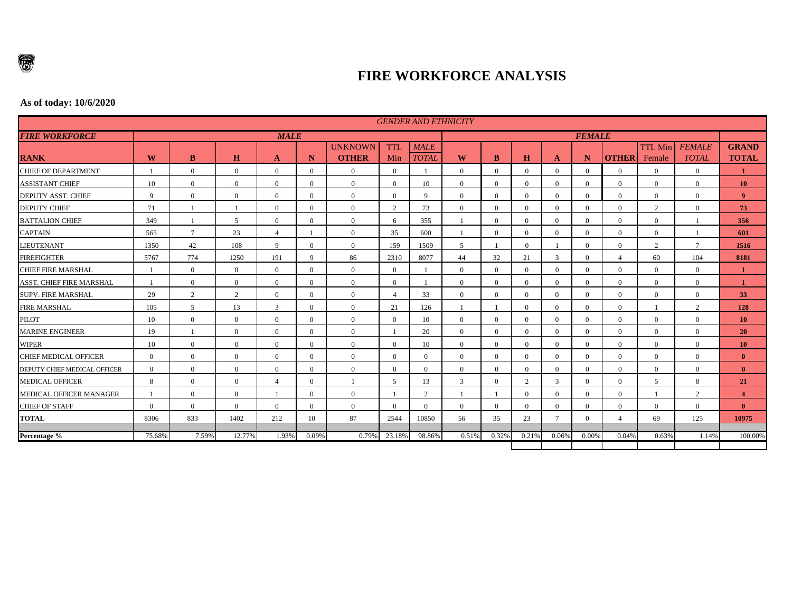

## **FIRE WORKFORCE ANALYSIS**

#### **As of today: 10/6/2020**

|                                 |                |                |                |                |                |                                |                |                             | <b>GENDER AND ETHNICITY</b> |                |                |                |                |                  |                          |                               |                              |  |
|---------------------------------|----------------|----------------|----------------|----------------|----------------|--------------------------------|----------------|-----------------------------|-----------------------------|----------------|----------------|----------------|----------------|------------------|--------------------------|-------------------------------|------------------------------|--|
| <b>FIRE WORKFORCE</b>           |                |                |                | <b>MALE</b>    |                |                                |                |                             | <b>FEMALE</b>               |                |                |                |                |                  |                          |                               |                              |  |
| <b>RANK</b>                     | W              | B              | H              | A              | N              | <b>UNKNOWN</b><br><b>OTHER</b> | TTI.<br>Min    | <b>MALE</b><br><b>TOTAL</b> | W                           | B              | $\bf H$        | A              | N              | <b>OTHER</b>     | <b>TTL Min</b><br>Female | <b>FEMALE</b><br><b>TOTAL</b> | <b>GRAND</b><br><b>TOTAL</b> |  |
| <b>CHIEF OF DEPARTMENT</b>      |                | $\theta$       | $\overline{0}$ | $\Omega$       | $\Omega$       | $\mathbf{0}$                   | $\overline{0}$ |                             | $\overline{0}$              | $\Omega$       | $\Omega$       | $\Omega$       | $\Omega$       | $\overline{0}$   | $\Omega$                 | $\overline{0}$                | 1                            |  |
| <b>ASSISTANT CHIEF</b>          | 10             | $\theta$       | $\overline{0}$ | $\Omega$       | $\Omega$       | $\overline{0}$                 | $\Omega$       | 10                          | $\mathbf{0}$                | $\Omega$       | $\Omega$       | $\Omega$       | $\theta$       | $\theta$         | $\Omega$                 | $\overline{0}$                | <b>10</b>                    |  |
| DEPUTY ASST. CHIEF              | $\mathbf{Q}$   | $\theta$       | $\overline{0}$ | $\Omega$       | $\Omega$       | $\Omega$                       | $\overline{0}$ | $\mathbf Q$                 | $\mathbf{0}$                | $\Omega$       | $\Omega$       | $\Omega$       | $\Omega$       | $\mathbf{0}$     | $\Omega$                 | $\Omega$                      | 9 <sup>°</sup>               |  |
| <b>DEPUTY CHIEF</b>             | 71             |                |                | $\overline{0}$ | $\overline{0}$ | $\overline{0}$                 | 2              | 73                          | $\overline{0}$              | $\overline{0}$ | $\overline{0}$ | $\overline{0}$ | $\overline{0}$ | $\overline{0}$   | $\mathcal{D}$            | $\overline{0}$                | 73                           |  |
| <b>BATTALION CHIEF</b>          | 349            |                | 5              | $\Omega$       | $\Omega$       | $\mathbf{0}$                   | 6              | 355                         |                             | $\Omega$       | $\Omega$       | $\Omega$       | $\Omega$       | $\overline{0}$   | $\overline{0}$           |                               | 356                          |  |
| <b>CAPTAIN</b>                  | 565            | $\overline{7}$ | 23             | $\overline{4}$ |                | $\overline{0}$                 | 35             | 600                         |                             | $\Omega$       | $\Omega$       | $\Omega$       | $\theta$       | $\overline{0}$   | $\overline{0}$           |                               | 601                          |  |
| <b>LIEUTENANT</b>               | 1350           | 42             | 108            | $\mathbf{Q}$   | $\Omega$       | $\theta$                       | 159            | 1509                        | 5                           |                | $\Omega$       |                | $\Omega$       | $\overline{0}$   | 2                        | $\overline{7}$                | 1516                         |  |
| <b>FIREFIGHTER</b>              | 5767           | 774            | 1250           | 191            | 9              | 86                             | 2310           | 8077                        | 44                          | 32             | 21             | 3              | $\Omega$       | $\overline{4}$   | 60                       | 104                           | 8181                         |  |
| <b>CHIEF FIRE MARSHAL</b>       |                | $\overline{0}$ | $\overline{0}$ | $\Omega$       | $\Omega$       | $\overline{0}$                 | $\overline{0}$ |                             | $\boldsymbol{0}$            | $\Omega$       | $\Omega$       | $\Omega$       | $\Omega$       | $\mathbf{0}$     | $\Omega$                 | $\overline{0}$                | 1                            |  |
| <b>ASST. CHIEF FIRE MARSHAL</b> |                | $\Omega$       | $\overline{0}$ | $\Omega$       | $\Omega$       | $\overline{0}$                 | $\overline{0}$ |                             | $\overline{0}$              | $\Omega$       | $\Omega$       | $\Omega$       | $\Omega$       | $\Omega$         | $\overline{0}$           | $\overline{0}$                | $\mathbf{1}$                 |  |
| SUPV. FIRE MARSHAL              | 29             | $\overline{2}$ | $\overline{2}$ | $\theta$       | $\Omega$       | $\theta$                       | $\overline{4}$ | 33                          | $\theta$                    | $\Omega$       | $\Omega$       | $\Omega$       | $\Omega$       | $\theta$         | $\Omega$                 | $\Omega$                      | 33                           |  |
| <b>FIRE MARSHAL</b>             | 105            | 5              | 13             | 3              | $\Omega$       | $\overline{0}$                 | 21             | 126                         | $\mathbf{1}$                |                | $\Omega$       | $\Omega$       | $\Omega$       | $\overline{0}$   |                          | $\overline{2}$                | 128                          |  |
| <b>PILOT</b>                    | 10             | $\Omega$       | $\overline{0}$ | $\overline{0}$ | $\Omega$       | $\overline{0}$                 | $\overline{0}$ | 10                          | $\overline{0}$              | $\Omega$       | $\Omega$       | $\Omega$       | $\overline{0}$ | $\overline{0}$   | $\overline{0}$           | $\overline{0}$                | <b>10</b>                    |  |
| <b>MARINE ENGINEER</b>          | 19             |                | $\Omega$       | $\Omega$       | $\Omega$       | $\overline{0}$                 |                | 20                          | $\overline{0}$              | $\Omega$       | $\Omega$       | $\Omega$       | $\Omega$       | $\overline{0}$   | $\Omega$                 | $\Omega$                      | <b>20</b>                    |  |
| <b>WIPER</b>                    | 10             | $\theta$       | $\overline{0}$ | $\Omega$       | $\Omega$       | $\theta$                       | $\Omega$       | 10                          | $\mathbf{0}$                | $\Omega$       | $\Omega$       | $\Omega$       | $\Omega$       | $\overline{0}$   | $\Omega$                 | $\overline{0}$                | <b>10</b>                    |  |
| CHIEF MEDICAL OFFICER           | $\overline{0}$ | $\Omega$       | $\overline{0}$ | $\Omega$       | $\Omega$       | $\theta$                       | $\Omega$       | $\Omega$                    | $\overline{0}$              | $\Omega$       | $\Omega$       | $\Omega$       | $\Omega$       | $\overline{0}$   | $\Omega$                 | $\Omega$                      | $\mathbf{0}$                 |  |
| DEPUTY CHIEF MEDICAL OFFICER    | $\overline{0}$ | $\Omega$       | $\overline{0}$ | $\Omega$       | $\Omega$       | $\theta$                       | $\theta$       | $\Omega$                    | $\overline{0}$              | $\Omega$       | $\Omega$       | $\Omega$       | $\Omega$       | $\overline{0}$   | $\overline{0}$           | $\overline{0}$                | $\mathbf{0}$                 |  |
| <b>MEDICAL OFFICER</b>          | 8              | $\mathbf{0}$   | $\overline{0}$ | $\overline{4}$ | $\Omega$       |                                | 5              | 13                          | 3                           | $\Omega$       | 2              | 3              | $\Omega$       | $\boldsymbol{0}$ | 5                        | 8                             | 21                           |  |
| MEDICAL OFFICER MANAGER         |                | $\Omega$       | $\overline{0}$ |                | $\theta$       | $\mathbf{0}$                   |                | $\overline{c}$              |                             |                | $\Omega$       | $\Omega$       | $\Omega$       | $\overline{0}$   |                          | $\overline{2}$                | $\overline{4}$               |  |
| <b>CHIEF OF STAFF</b>           | $\Omega$       | $\theta$       | $\Omega$       | $\Omega$       | $\Omega$       | $\theta$                       | $\Omega$       | $\Omega$                    | $\theta$                    | $\Omega$       | $\Omega$       | $\Omega$       | $\theta$       | $\Omega$         | $\Omega$                 | $\Omega$                      | $\mathbf{0}$                 |  |
| <b>TOTAL</b>                    | 8306           | 833            | 1402           | 212            | 10             | 87                             | 2544           | 10850                       | 56                          | 35             | 23             |                | $\Omega$       | $\overline{4}$   | 69                       | 125                           | 10975                        |  |
| Percentage %                    | 75.68%         | 7.59%          | 12.77%         | 1.939          | 0.09%          | 0.79%                          | 23.18%         | 98.86%                      | 0.51%                       | 0.32%          | 0.21%          | 0.06%          | 0.00%          | 0.04%            | 0.63%                    | 1.14%                         | 100.00%                      |  |
|                                 |                |                |                |                |                |                                |                |                             |                             |                |                |                |                |                  |                          |                               |                              |  |